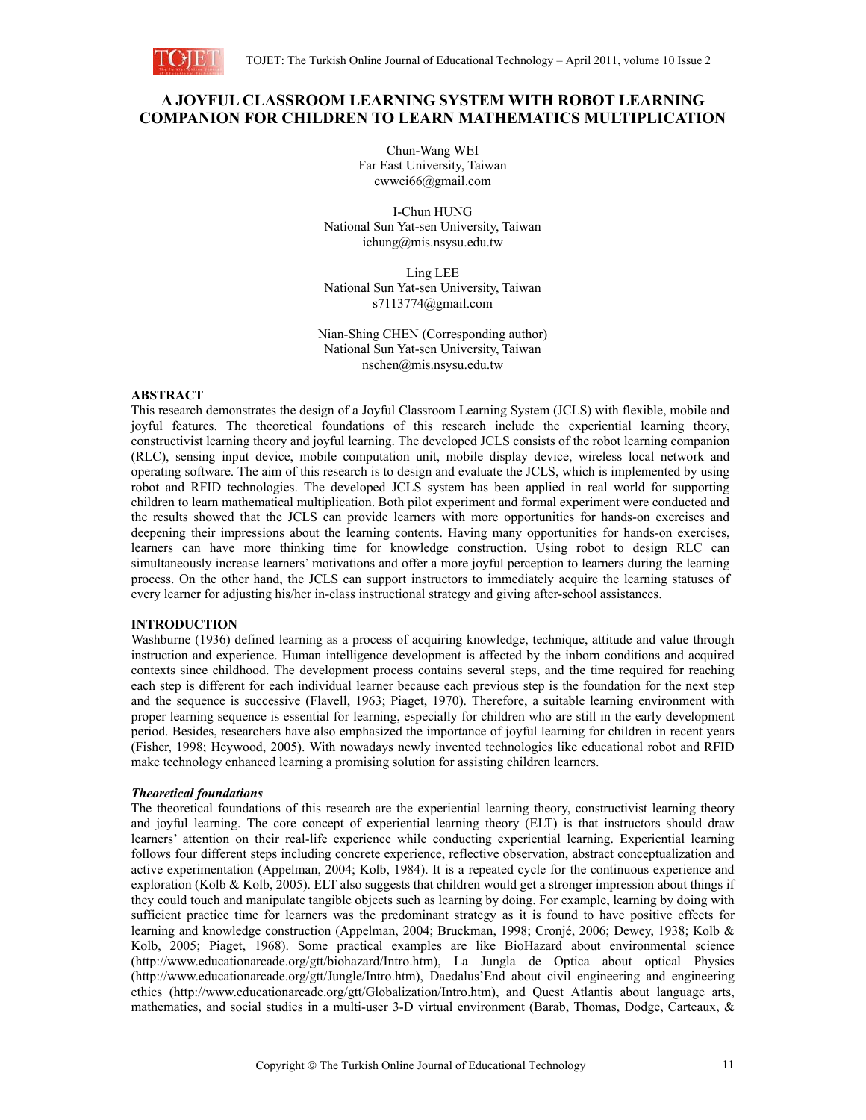

# **A JOYFUL CLASSROOM LEARNING SYSTEM WITH ROBOT LEARNING COMPANION FOR CHILDREN TO LEARN MATHEMATICS MULTIPLICATION**

Chun-Wang WEI Far East University, Taiwan cwwei66@gmail.com

I-Chun HUNG National Sun Yat-sen University, Taiwan ichung@mis.nsysu.edu.tw

Ling LEE National Sun Yat-sen University, Taiwan s7113774@gmail.com

Nian-Shing CHEN (Corresponding author) National Sun Yat-sen University, Taiwan nschen@mis.nsysu.edu.tw

### **ABSTRACT**

This research demonstrates the design of a Joyful Classroom Learning System (JCLS) with flexible, mobile and joyful features. The theoretical foundations of this research include the experiential learning theory, constructivist learning theory and joyful learning. The developed JCLS consists of the robot learning companion (RLC), sensing input device, mobile computation unit, mobile display device, wireless local network and operating software. The aim of this research is to design and evaluate the JCLS, which is implemented by using robot and RFID technologies. The developed JCLS system has been applied in real world for supporting children to learn mathematical multiplication. Both pilot experiment and formal experiment were conducted and the results showed that the JCLS can provide learners with more opportunities for hands-on exercises and deepening their impressions about the learning contents. Having many opportunities for hands-on exercises, learners can have more thinking time for knowledge construction. Using robot to design RLC can simultaneously increase learners' motivations and offer a more joyful perception to learners during the learning process. On the other hand, the JCLS can support instructors to immediately acquire the learning statuses of every learner for adjusting his/her in-class instructional strategy and giving after-school assistances.

### **INTRODUCTION**

Washburne (1936) defined learning as a process of acquiring knowledge, technique, attitude and value through instruction and experience. Human intelligence development is affected by the inborn conditions and acquired contexts since childhood. The development process contains several steps, and the time required for reaching each step is different for each individual learner because each previous step is the foundation for the next step and the sequence is successive (Flavell, 1963; Piaget, 1970). Therefore, a suitable learning environment with proper learning sequence is essential for learning, especially for children who are still in the early development period. Besides, researchers have also emphasized the importance of joyful learning for children in recent years (Fisher, 1998; Heywood, 2005). With nowadays newly invented technologies like educational robot and RFID make technology enhanced learning a promising solution for assisting children learners.

#### *Theoretical foundations*

The theoretical foundations of this research are the experiential learning theory, constructivist learning theory and joyful learning. The core concept of experiential learning theory (ELT) is that instructors should draw learners' attention on their real-life experience while conducting experiential learning. Experiential learning follows four different steps including concrete experience, reflective observation, abstract conceptualization and active experimentation (Appelman, 2004; Kolb, 1984). It is a repeated cycle for the continuous experience and exploration (Kolb & Kolb, 2005). ELT also suggests that children would get a stronger impression about things if they could touch and manipulate tangible objects such as learning by doing. For example, learning by doing with sufficient practice time for learners was the predominant strategy as it is found to have positive effects for learning and knowledge construction (Appelman, 2004; Bruckman, 1998; Cronjé, 2006; Dewey, 1938; Kolb & Kolb, 2005; Piaget, 1968). Some practical examples are like BioHazard about environmental science (http://www.educationarcade.org/gtt/biohazard/Intro.htm), La Jungla de Optica about optical Physics (http://www.educationarcade.org/gtt/Jungle/Intro.htm), Daedalus'End about civil engineering and engineering ethics (http://www.educationarcade.org/gtt/Globalization/Intro.htm), and Quest Atlantis about language arts, mathematics, and social studies in a multi-user 3-D virtual environment (Barab, Thomas, Dodge, Carteaux, &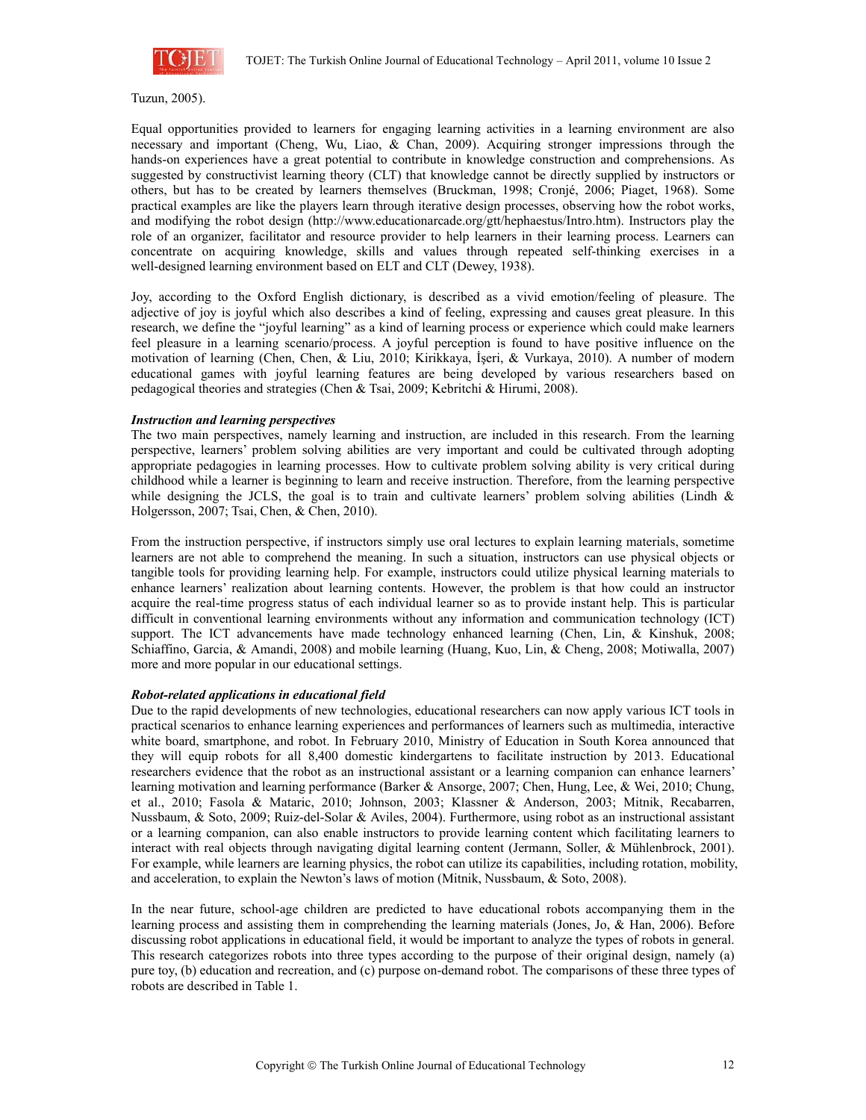

Tuzun, 2005).

Equal opportunities provided to learners for engaging learning activities in a learning environment are also necessary and important (Cheng, Wu, Liao, & Chan, 2009). Acquiring stronger impressions through the hands-on experiences have a great potential to contribute in knowledge construction and comprehensions. As suggested by constructivist learning theory (CLT) that knowledge cannot be directly supplied by instructors or others, but has to be created by learners themselves (Bruckman, 1998; Cronjé, 2006; Piaget, 1968). Some practical examples are like the players learn through iterative design processes, observing how the robot works, and modifying the robot design (http://www.educationarcade.org/gtt/hephaestus/Intro.htm). Instructors play the role of an organizer, facilitator and resource provider to help learners in their learning process. Learners can concentrate on acquiring knowledge, skills and values through repeated self-thinking exercises in a well-designed learning environment based on ELT and CLT (Dewey, 1938).

Joy, according to the Oxford English dictionary, is described as a vivid emotion/feeling of pleasure. The adjective of joy is joyful which also describes a kind of feeling, expressing and causes great pleasure. In this research, we define the "joyful learning" as a kind of learning process or experience which could make learners feel pleasure in a learning scenario/process. A joyful perception is found to have positive influence on the motivation of learning (Chen, Chen, & Liu, 2010; Kirikkaya, İşeri, & Vurkaya, 2010). A number of modern educational games with joyful learning features are being developed by various researchers based on pedagogical theories and strategies (Chen & Tsai, 2009; Kebritchi & Hirumi, 2008).

#### *Instruction and learning perspectives*

The two main perspectives, namely learning and instruction, are included in this research. From the learning perspective, learners' problem solving abilities are very important and could be cultivated through adopting appropriate pedagogies in learning processes. How to cultivate problem solving ability is very critical during childhood while a learner is beginning to learn and receive instruction. Therefore, from the learning perspective while designing the JCLS, the goal is to train and cultivate learners' problem solving abilities (Lindh  $\&$ Holgersson, 2007; Tsai, Chen, & Chen, 2010).

From the instruction perspective, if instructors simply use oral lectures to explain learning materials, sometime learners are not able to comprehend the meaning. In such a situation, instructors can use physical objects or tangible tools for providing learning help. For example, instructors could utilize physical learning materials to enhance learners' realization about learning contents. However, the problem is that how could an instructor acquire the real-time progress status of each individual learner so as to provide instant help. This is particular difficult in conventional learning environments without any information and communication technology (ICT) support. The ICT advancements have made technology enhanced learning (Chen, Lin, & Kinshuk, 2008; Schiaffino, Garcia, & Amandi, 2008) and mobile learning (Huang, Kuo, Lin, & Cheng, 2008; Motiwalla, 2007) more and more popular in our educational settings.

#### *Robot-related applications in educational field*

Due to the rapid developments of new technologies, educational researchers can now apply various ICT tools in practical scenarios to enhance learning experiences and performances of learners such as multimedia, interactive white board, smartphone, and robot. In February 2010, Ministry of Education in South Korea announced that they will equip robots for all 8,400 domestic kindergartens to facilitate instruction by 2013. Educational researchers evidence that the robot as an instructional assistant or a learning companion can enhance learners' learning motivation and learning performance (Barker & Ansorge, 2007; Chen, Hung, Lee, & Wei, 2010; Chung, et al., 2010; Fasola & Mataric, 2010; Johnson, 2003; Klassner & Anderson, 2003; Mitnik, Recabarren, Nussbaum, & Soto, 2009; Ruiz-del-Solar & Aviles, 2004). Furthermore, using robot as an instructional assistant or a learning companion, can also enable instructors to provide learning content which facilitating learners to interact with real objects through navigating digital learning content (Jermann, Soller, & Mühlenbrock, 2001). For example, while learners are learning physics, the robot can utilize its capabilities, including rotation, mobility, and acceleration, to explain the Newton's laws of motion (Mitnik, Nussbaum, & Soto, 2008).

In the near future, school-age children are predicted to have educational robots accompanying them in the learning process and assisting them in comprehending the learning materials (Jones, Jo, & Han, 2006). Before discussing robot applications in educational field, it would be important to analyze the types of robots in general. This research categorizes robots into three types according to the purpose of their original design, namely (a) pure toy, (b) education and recreation, and (c) purpose on-demand robot. The comparisons of these three types of robots are described in Table 1.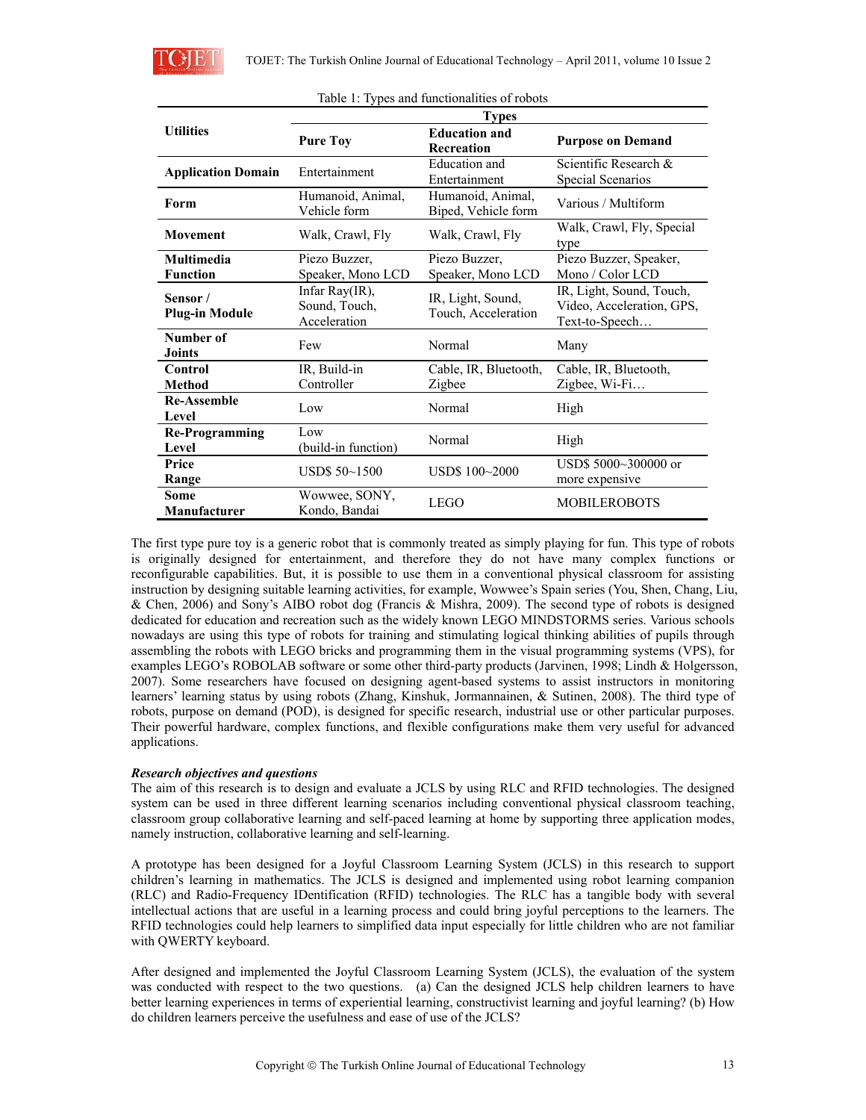

|                                  | <b>Types</b>                                          |                                          |                                                                         |  |
|----------------------------------|-------------------------------------------------------|------------------------------------------|-------------------------------------------------------------------------|--|
| <b>Utilities</b>                 | <b>Education and</b><br><b>Pure Toy</b><br>Recreation |                                          | <b>Purpose on Demand</b>                                                |  |
| <b>Application Domain</b>        | Education and<br>Entertainment<br>Entertainment       |                                          | Scientific Research $\&$<br>Special Scenarios                           |  |
| Form                             | Humanoid, Animal,<br>Vehicle form                     | Humanoid, Animal,<br>Biped, Vehicle form | Various / Multiform                                                     |  |
| <b>Movement</b>                  | Walk, Crawl, Fly                                      | Walk, Crawl, Fly                         | Walk, Crawl, Fly, Special<br>type                                       |  |
| <b>Multimedia</b>                | Piezo Buzzer,                                         | Piezo Buzzer,                            | Piezo Buzzer, Speaker,                                                  |  |
| <b>Function</b>                  | Speaker, Mono LCD                                     | Speaker, Mono LCD                        | Mono / Color LCD                                                        |  |
| Sensor/<br><b>Plug-in Module</b> | Infar Ray(IR),<br>Sound, Touch,<br>Acceleration       | IR, Light, Sound,<br>Touch, Acceleration | IR, Light, Sound, Touch,<br>Video, Acceleration, GPS,<br>Text-to-Speech |  |
| Number of<br><b>Joints</b>       | Few                                                   | Normal                                   | Many                                                                    |  |
| Control                          | IR, Build-in                                          | Cable, IR, Bluetooth,                    | Cable, IR, Bluetooth,                                                   |  |
| <b>Method</b>                    | Controller                                            | Zigbee                                   | Zigbee, Wi-Fi                                                           |  |
| <b>Re-Assemble</b><br>Level      | Low                                                   | Normal                                   | High                                                                    |  |
| Re-Programming<br>Level          | Low<br>(build-in function)                            | Normal                                   | High                                                                    |  |
| Price<br>Range                   | USDS 50~1500                                          | USD\$ 100~2000                           | USD\$ 5000~300000 or<br>more expensive                                  |  |
| Some<br>Manufacturer             | Wowwee, SONY,<br>Kondo, Bandai                        | <b>LEGO</b>                              | <b>MOBILEROBOTS</b>                                                     |  |

The first type pure toy is a generic robot that is commonly treated as simply playing for fun. This type of robots is originally designed for entertainment, and therefore they do not have many complex functions or reconfigurable capabilities. But, it is possible to use them in a conventional physical classroom for assisting instruction by designing suitable learning activities, for example, Wowwee's Spain series (You, Shen, Chang, Liu, & Chen, 2006) and Sony's AIBO robot dog (Francis & Mishra, 2009). The second type of robots is designed dedicated for education and recreation such as the widely known LEGO MINDSTORMS series. Various schools nowadays are using this type of robots for training and stimulating logical thinking abilities of pupils through assembling the robots with LEGO bricks and programming them in the visual programming systems (VPS), for examples LEGO's ROBOLAB software or some other third-party products (Jarvinen, 1998; Lindh & Holgersson, 2007). Some researchers have focused on designing agent-based systems to assist instructors in monitoring learners' learning status by using robots (Zhang, Kinshuk, Jormannainen, & Sutinen, 2008). The third type of robots, purpose on demand (POD), is designed for specific research, industrial use or other particular purposes. Their powerful hardware, complex functions, and flexible configurations make them very useful for advanced applications.

### *Research objectives and questions*

The aim of this research is to design and evaluate a JCLS by using RLC and RFID technologies. The designed system can be used in three different learning scenarios including conventional physical classroom teaching, classroom group collaborative learning and self-paced learning at home by supporting three application modes, namely instruction, collaborative learning and self-learning.

A prototype has been designed for a Joyful Classroom Learning System (JCLS) in this research to support children's learning in mathematics. The JCLS is designed and implemented using robot learning companion (RLC) and Radio-Frequency IDentification (RFID) technologies. The RLC has a tangible body with several intellectual actions that are useful in a learning process and could bring joyful perceptions to the learners. The RFID technologies could help learners to simplified data input especially for little children who are not familiar with QWERTY keyboard.

After designed and implemented the Joyful Classroom Learning System (JCLS), the evaluation of the system was conducted with respect to the two questions. (a) Can the designed JCLS help children learners to have better learning experiences in terms of experiential learning, constructivist learning and joyful learning? (b) How do children learners perceive the usefulness and ease of use of the JCLS?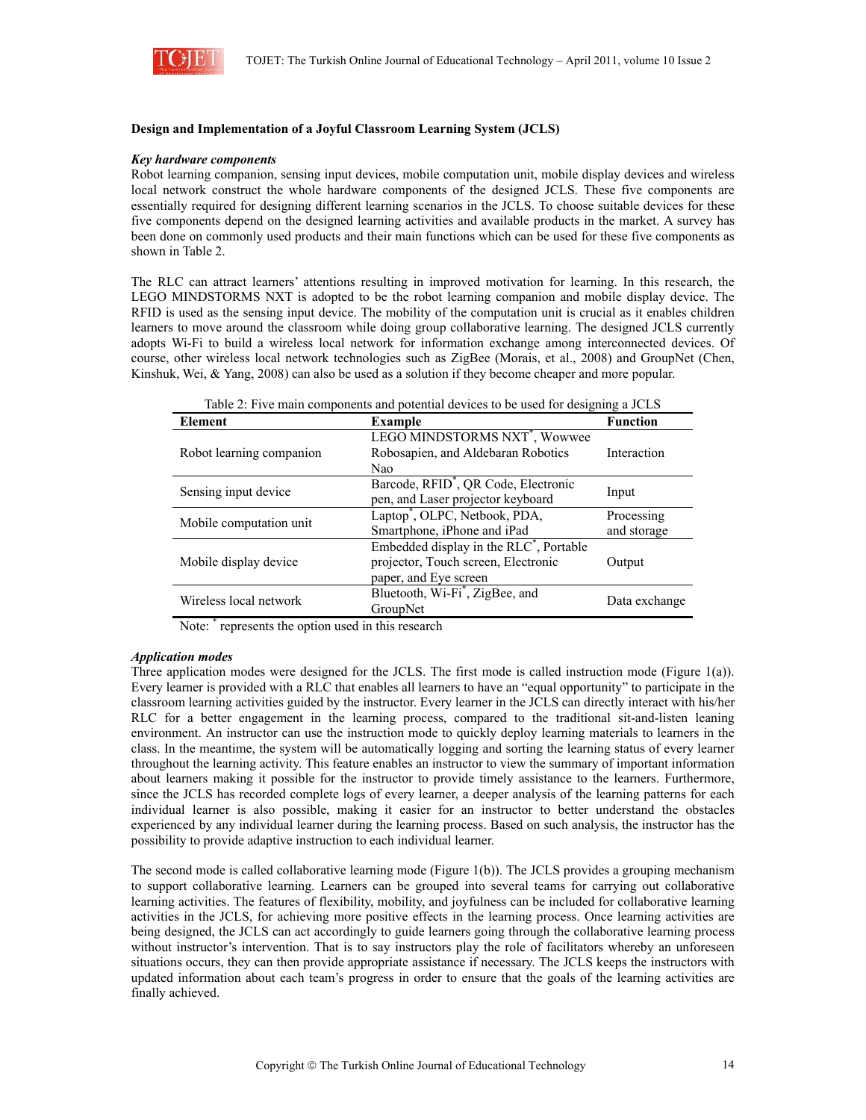

### **Design and Implementation of a Joyful Classroom Learning System (JCLS)**

#### *Key hardware components*

Robot learning companion, sensing input devices, mobile computation unit, mobile display devices and wireless local network construct the whole hardware components of the designed JCLS. These five components are essentially required for designing different learning scenarios in the JCLS. To choose suitable devices for these five components depend on the designed learning activities and available products in the market. A survey has been done on commonly used products and their main functions which can be used for these five components as shown in Table 2.

The RLC can attract learners' attentions resulting in improved motivation for learning. In this research, the LEGO MINDSTORMS NXT is adopted to be the robot learning companion and mobile display device. The RFID is used as the sensing input device. The mobility of the computation unit is crucial as it enables children learners to move around the classroom while doing group collaborative learning. The designed JCLS currently adopts Wi-Fi to build a wireless local network for information exchange among interconnected devices. Of course, other wireless local network technologies such as ZigBee (Morais, et al., 2008) and GroupNet (Chen, Kinshuk, Wei, & Yang, 2008) can also be used as a solution if they become cheaper and more popular.

| Table 2. Five main components and potential devices to be used for designing a JCES |                                                     |                 |  |
|-------------------------------------------------------------------------------------|-----------------------------------------------------|-----------------|--|
| Element                                                                             | <b>Example</b>                                      | <b>Function</b> |  |
|                                                                                     | LEGO MINDSTORMS NXT <sup>*</sup> , Wowwee           |                 |  |
| Robot learning companion                                                            | Robosapien, and Aldebaran Robotics                  | Interaction     |  |
|                                                                                     | Nao                                                 |                 |  |
|                                                                                     | Barcode, RFID <sup>*</sup> , QR Code, Electronic    | Input           |  |
| Sensing input device                                                                | pen, and Laser projector keyboard                   |                 |  |
|                                                                                     | Laptop <sup>*</sup> , OLPC, Netbook, PDA,           | Processing      |  |
| Mobile computation unit                                                             | Smartphone, iPhone and iPad                         | and storage     |  |
|                                                                                     | Embedded display in the RLC <sup>*</sup> , Portable |                 |  |
| Mobile display device                                                               | projector, Touch screen, Electronic                 |                 |  |
|                                                                                     | paper, and Eye screen                               |                 |  |
| Wireless local network                                                              | Bluetooth, Wi-Fi <sup>*</sup> , ZigBee, and         | Data exchange   |  |
|                                                                                     | GroupNet                                            |                 |  |

Table 2: Five main components and potential devices to be used for designing a JCLS

Note: \* represents the option used in this research

#### *Application modes*

Three application modes were designed for the JCLS. The first mode is called instruction mode (Figure 1(a)). Every learner is provided with a RLC that enables all learners to have an "equal opportunity" to participate in the classroom learning activities guided by the instructor. Every learner in the JCLS can directly interact with his/her RLC for a better engagement in the learning process, compared to the traditional sit-and-listen leaning environment. An instructor can use the instruction mode to quickly deploy learning materials to learners in the class. In the meantime, the system will be automatically logging and sorting the learning status of every learner throughout the learning activity. This feature enables an instructor to view the summary of important information about learners making it possible for the instructor to provide timely assistance to the learners. Furthermore, since the JCLS has recorded complete logs of every learner, a deeper analysis of the learning patterns for each individual learner is also possible, making it easier for an instructor to better understand the obstacles experienced by any individual learner during the learning process. Based on such analysis, the instructor has the possibility to provide adaptive instruction to each individual learner.

The second mode is called collaborative learning mode (Figure 1(b)). The JCLS provides a grouping mechanism to support collaborative learning. Learners can be grouped into several teams for carrying out collaborative learning activities. The features of flexibility, mobility, and joyfulness can be included for collaborative learning activities in the JCLS, for achieving more positive effects in the learning process. Once learning activities are being designed, the JCLS can act accordingly to guide learners going through the collaborative learning process without instructor's intervention. That is to say instructors play the role of facilitators whereby an unforeseen situations occurs, they can then provide appropriate assistance if necessary. The JCLS keeps the instructors with updated information about each team's progress in order to ensure that the goals of the learning activities are finally achieved.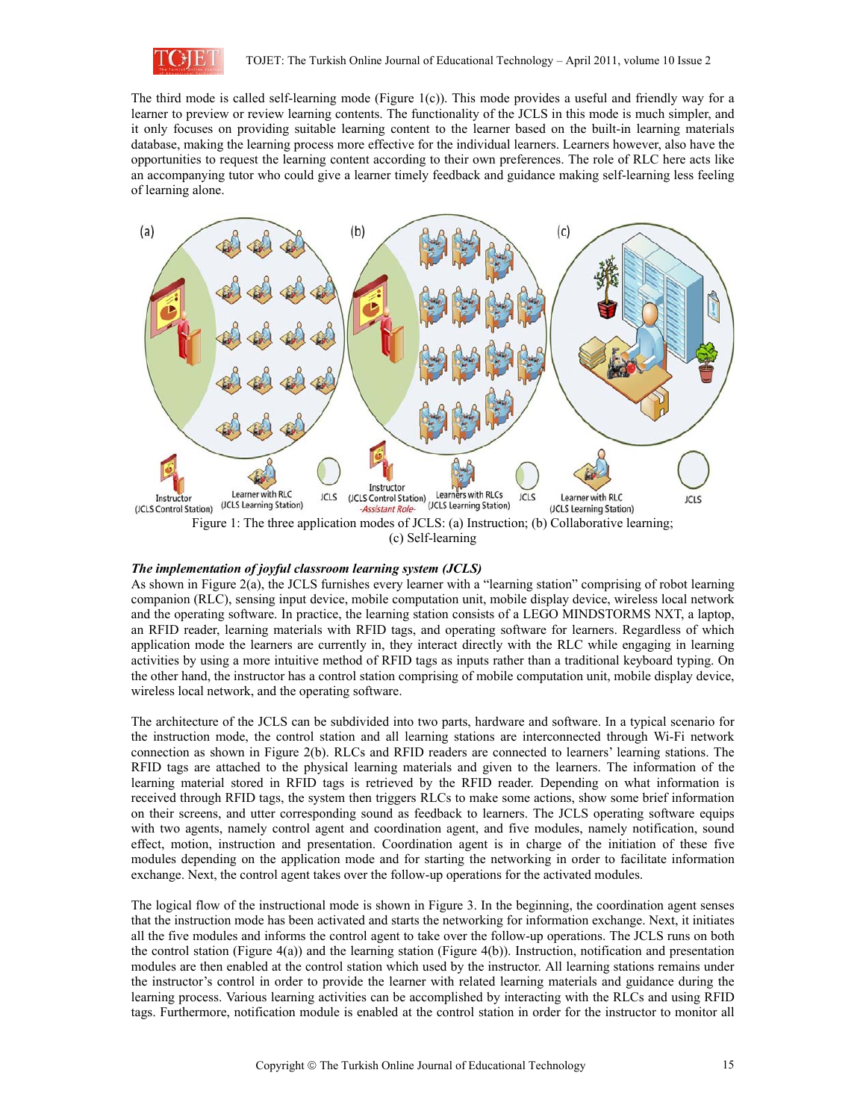

The third mode is called self-learning mode (Figure 1(c)). This mode provides a useful and friendly way for a learner to preview or review learning contents. The functionality of the JCLS in this mode is much simpler, and it only focuses on providing suitable learning content to the learner based on the built-in learning materials database, making the learning process more effective for the individual learners. Learners however, also have the opportunities to request the learning content according to their own preferences. The role of RLC here acts like an accompanying tutor who could give a learner timely feedback and guidance making self-learning less feeling of learning alone.



(c) Self-learning

### *The implementation of joyful classroom learning system (JCLS)*

As shown in Figure 2(a), the JCLS furnishes every learner with a "learning station" comprising of robot learning companion (RLC), sensing input device, mobile computation unit, mobile display device, wireless local network and the operating software. In practice, the learning station consists of a LEGO MINDSTORMS NXT, a laptop, an RFID reader, learning materials with RFID tags, and operating software for learners. Regardless of which application mode the learners are currently in, they interact directly with the RLC while engaging in learning activities by using a more intuitive method of RFID tags as inputs rather than a traditional keyboard typing. On the other hand, the instructor has a control station comprising of mobile computation unit, mobile display device, wireless local network, and the operating software.

The architecture of the JCLS can be subdivided into two parts, hardware and software. In a typical scenario for the instruction mode, the control station and all learning stations are interconnected through Wi-Fi network connection as shown in Figure 2(b). RLCs and RFID readers are connected to learners' learning stations. The RFID tags are attached to the physical learning materials and given to the learners. The information of the learning material stored in RFID tags is retrieved by the RFID reader. Depending on what information is received through RFID tags, the system then triggers RLCs to make some actions, show some brief information on their screens, and utter corresponding sound as feedback to learners. The JCLS operating software equips with two agents, namely control agent and coordination agent, and five modules, namely notification, sound effect, motion, instruction and presentation. Coordination agent is in charge of the initiation of these five modules depending on the application mode and for starting the networking in order to facilitate information exchange. Next, the control agent takes over the follow-up operations for the activated modules.

The logical flow of the instructional mode is shown in Figure 3. In the beginning, the coordination agent senses that the instruction mode has been activated and starts the networking for information exchange. Next, it initiates all the five modules and informs the control agent to take over the follow-up operations. The JCLS runs on both the control station (Figure 4(a)) and the learning station (Figure 4(b)). Instruction, notification and presentation modules are then enabled at the control station which used by the instructor. All learning stations remains under the instructor's control in order to provide the learner with related learning materials and guidance during the learning process. Various learning activities can be accomplished by interacting with the RLCs and using RFID tags. Furthermore, notification module is enabled at the control station in order for the instructor to monitor all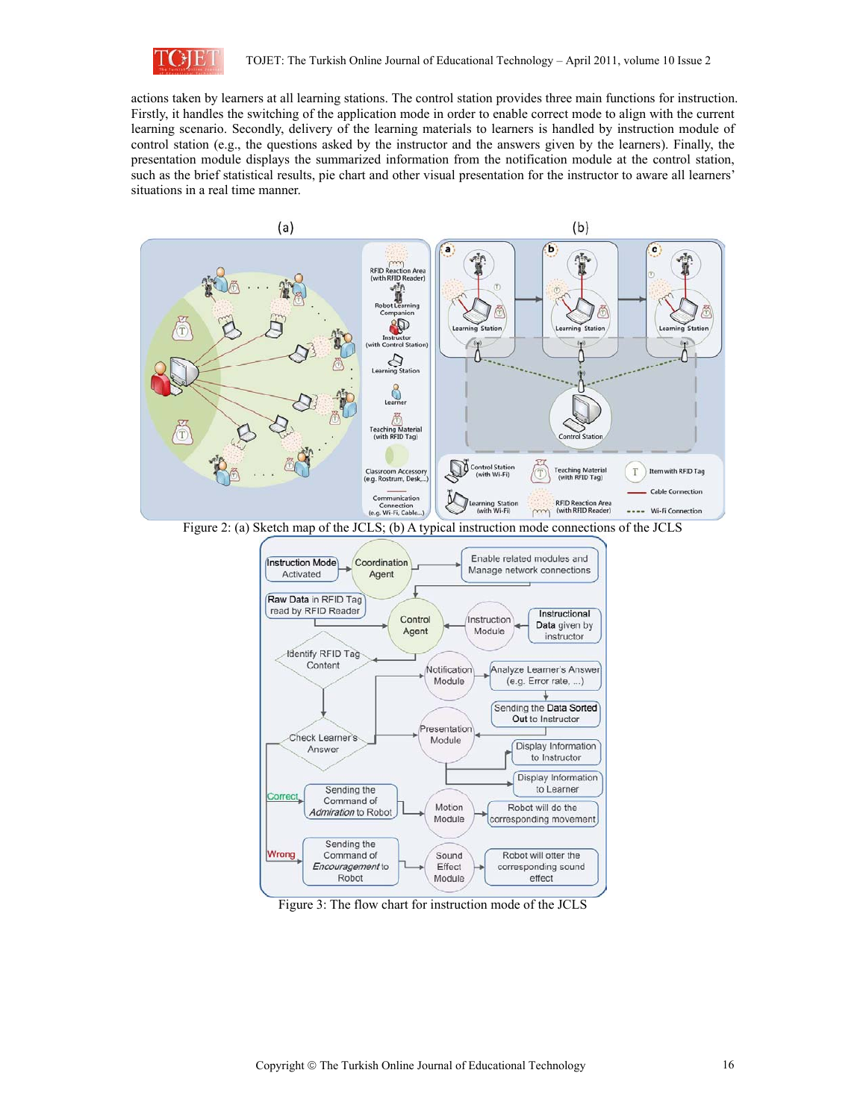

actions taken by learners at all learning stations. The control station provides three main functions for instruction. Firstly, it handles the switching of the application mode in order to enable correct mode to align with the current learning scenario. Secondly, delivery of the learning materials to learners is handled by instruction module of control station (e.g., the questions asked by the instructor and the answers given by the learners). Finally, the presentation module displays the summarized information from the notification module at the control station, such as the brief statistical results, pie chart and other visual presentation for the instructor to aware all learners' situations in a real time manner.



Figure 2: (a) Sketch map of the JCLS; (b) A typical instruction mode connections of the JCLS



Figure 3: The flow chart for instruction mode of the JCLS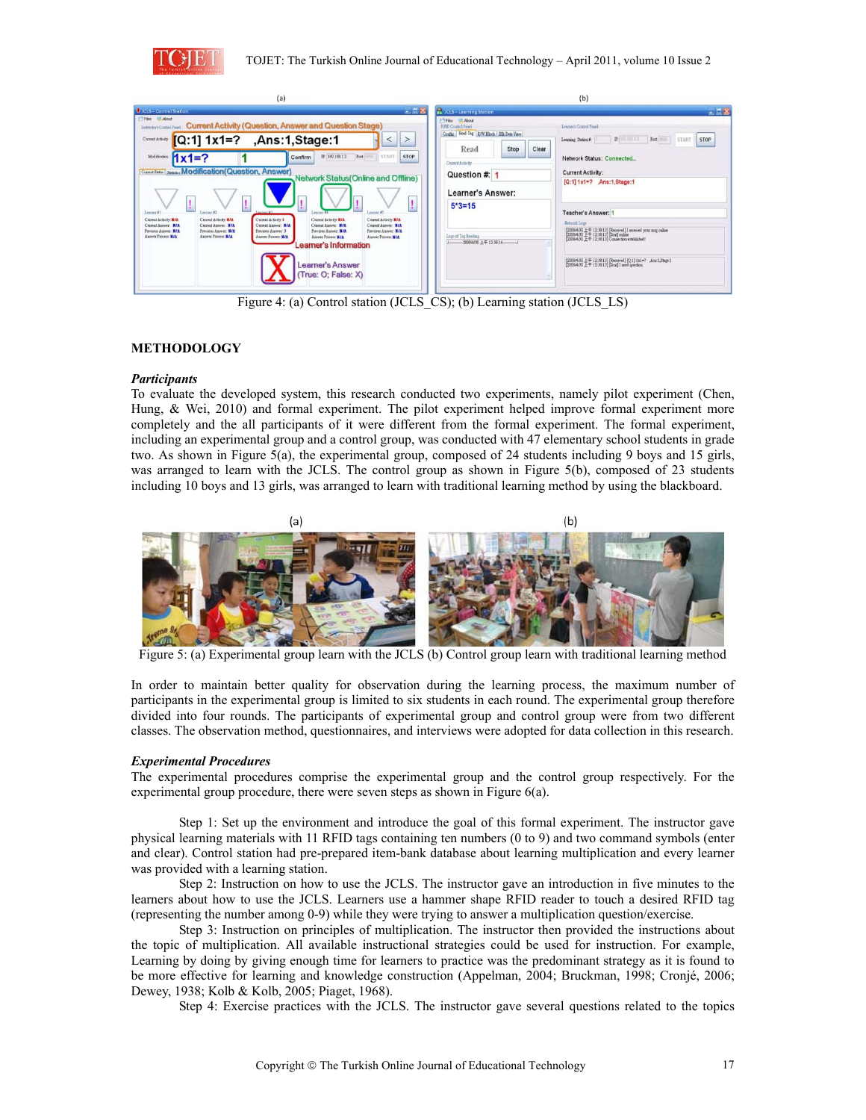



Figure 4: (a) Control station (JCLS CS); (b) Learning station (JCLS LS)

## **METHODOLOGY**

### *Participants*

To evaluate the developed system, this research conducted two experiments, namely pilot experiment (Chen, Hung, & Wei, 2010) and formal experiment. The pilot experiment helped improve formal experiment more completely and the all participants of it were different from the formal experiment. The formal experiment, including an experimental group and a control group, was conducted with 47 elementary school students in grade two. As shown in Figure 5(a), the experimental group, composed of 24 students including 9 boys and 15 girls, was arranged to learn with the JCLS. The control group as shown in Figure 5(b), composed of 23 students including 10 boys and 13 girls, was arranged to learn with traditional learning method by using the blackboard.



Figure 5: (a) Experimental group learn with the JCLS (b) Control group learn with traditional learning method

In order to maintain better quality for observation during the learning process, the maximum number of participants in the experimental group is limited to six students in each round. The experimental group therefore divided into four rounds. The participants of experimental group and control group were from two different classes. The observation method, questionnaires, and interviews were adopted for data collection in this research.

### *Experimental Procedures*

The experimental procedures comprise the experimental group and the control group respectively. For the experimental group procedure, there were seven steps as shown in Figure 6(a).

Step 1: Set up the environment and introduce the goal of this formal experiment. The instructor gave physical learning materials with 11 RFID tags containing ten numbers (0 to 9) and two command symbols (enter and clear). Control station had pre-prepared item-bank database about learning multiplication and every learner was provided with a learning station.

Step 2: Instruction on how to use the JCLS. The instructor gave an introduction in five minutes to the learners about how to use the JCLS. Learners use a hammer shape RFID reader to touch a desired RFID tag (representing the number among 0-9) while they were trying to answer a multiplication question/exercise.

Step 3: Instruction on principles of multiplication. The instructor then provided the instructions about the topic of multiplication. All available instructional strategies could be used for instruction. For example, Learning by doing by giving enough time for learners to practice was the predominant strategy as it is found to be more effective for learning and knowledge construction (Appelman, 2004; Bruckman, 1998; Cronjé, 2006; Dewey, 1938; Kolb & Kolb, 2005; Piaget, 1968).

Step 4: Exercise practices with the JCLS. The instructor gave several questions related to the topics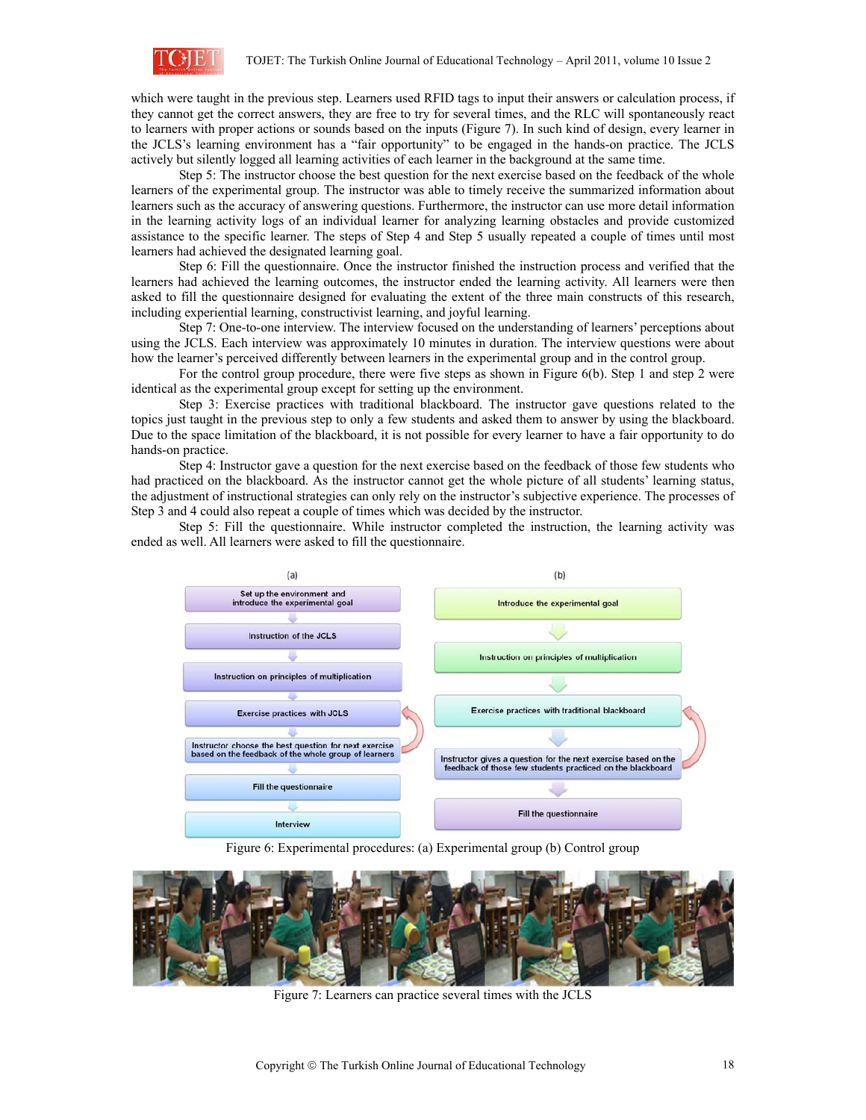

which were taught in the previous step. Learners used RFID tags to input their answers or calculation process, if they cannot get the correct answers, they are free to try for several times, and the RLC will spontaneously react to learners with proper actions or sounds based on the inputs (Figure 7). In such kind of design, every learner in the JCLS's learning environment has a "fair opportunity" to be engaged in the hands-on practice. The JCLS actively but silently logged all learning activities of each learner in the background at the same time.

Step 5: The instructor choose the best question for the next exercise based on the feedback of the whole learners of the experimental group. The instructor was able to timely receive the summarized information about learners such as the accuracy of answering questions. Furthermore, the instructor can use more detail information in the learning activity logs of an individual learner for analyzing learning obstacles and provide customized assistance to the specific learner. The steps of Step 4 and Step 5 usually repeated a couple of times until most learners had achieved the designated learning goal.

Step 6: Fill the questionnaire. Once the instructor finished the instruction process and verified that the learners had achieved the learning outcomes, the instructor ended the learning activity. All learners were then asked to fill the questionnaire designed for evaluating the extent of the three main constructs of this research, including experiential learning, constructivist learning, and joyful learning.

Step 7: One-to-one interview. The interview focused on the understanding of learners' perceptions about using the JCLS. Each interview was approximately 10 minutes in duration. The interview questions were about how the learner's perceived differently between learners in the experimental group and in the control group.

For the control group procedure, there were five steps as shown in Figure 6(b). Step 1 and step 2 were identical as the experimental group except for setting up the environment.

Step 3: Exercise practices with traditional blackboard. The instructor gave questions related to the topics just taught in the previous step to only a few students and asked them to answer by using the blackboard. Due to the space limitation of the blackboard, it is not possible for every learner to have a fair opportunity to do hands-on practice.

Step 4: Instructor gave a question for the next exercise based on the feedback of those few students who had practiced on the blackboard. As the instructor cannot get the whole picture of all students' learning status, the adjustment of instructional strategies can only rely on the instructor's subjective experience. The processes of Step 3 and 4 could also repeat a couple of times which was decided by the instructor.

Step 5: Fill the questionnaire. While instructor completed the instruction, the learning activity was ended as well. All learners were asked to fill the questionnaire.



Figure 6: Experimental procedures: (a) Experimental group (b) Control group



Figure 7: Learners can practice several times with the JCLS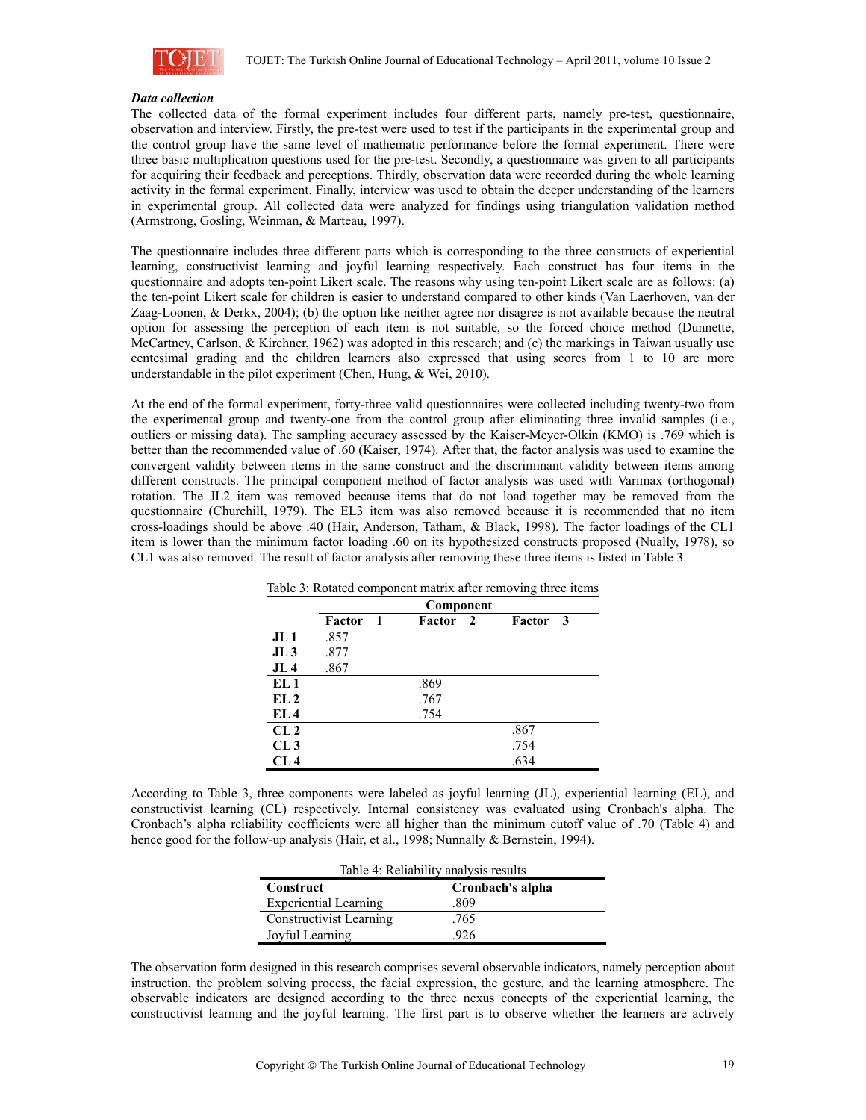

#### *Data collection*

The collected data of the formal experiment includes four different parts, namely pre-test, questionnaire, observation and interview. Firstly, the pre-test were used to test if the participants in the experimental group and the control group have the same level of mathematic performance before the formal experiment. There were three basic multiplication questions used for the pre-test. Secondly, a questionnaire was given to all participants for acquiring their feedback and perceptions. Thirdly, observation data were recorded during the whole learning activity in the formal experiment. Finally, interview was used to obtain the deeper understanding of the learners in experimental group. All collected data were analyzed for findings using triangulation validation method (Armstrong, Gosling, Weinman, & Marteau, 1997).

The questionnaire includes three different parts which is corresponding to the three constructs of experiential learning, constructivist learning and joyful learning respectively. Each construct has four items in the questionnaire and adopts ten-point Likert scale. The reasons why using ten-point Likert scale are as follows: (a) the ten-point Likert scale for children is easier to understand compared to other kinds (Van Laerhoven, van der Zaag-Loonen, & Derkx, 2004); (b) the option like neither agree nor disagree is not available because the neutral option for assessing the perception of each item is not suitable, so the forced choice method (Dunnette, McCartney, Carlson, & Kirchner, 1962) was adopted in this research; and (c) the markings in Taiwan usually use centesimal grading and the children learners also expressed that using scores from 1 to 10 are more understandable in the pilot experiment (Chen, Hung, & Wei, 2010).

At the end of the formal experiment, forty-three valid questionnaires were collected including twenty-two from the experimental group and twenty-one from the control group after eliminating three invalid samples (i.e., outliers or missing data). The sampling accuracy assessed by the Kaiser-Meyer-Olkin (KMO) is .769 which is better than the recommended value of .60 (Kaiser, 1974). After that, the factor analysis was used to examine the convergent validity between items in the same construct and the discriminant validity between items among different constructs. The principal component method of factor analysis was used with Varimax (orthogonal) rotation. The JL2 item was removed because items that do not load together may be removed from the questionnaire (Churchill, 1979). The EL3 item was also removed because it is recommended that no item cross-loadings should be above .40 (Hair, Anderson, Tatham, & Black, 1998). The factor loadings of the CL1 item is lower than the minimum factor loading .60 on its hypothesized constructs proposed (Nually, 1978), so CL1 was also removed. The result of factor analysis after removing these three items is listed in Table 3.

|        |              |        | ັ              |           |
|--------|--------------|--------|----------------|-----------|
|        |              |        |                |           |
| Factor | $\mathbf{1}$ | Factor | Factor         | - 3       |
| .857   |              |        |                |           |
| .877   |              |        |                |           |
| .867   |              |        |                |           |
|        |              | .869   |                |           |
|        |              | .767   |                |           |
|        |              | .754   |                |           |
|        |              |        | .867           |           |
|        |              |        | .754           |           |
|        |              |        | .634           |           |
|        |              |        | $\overline{2}$ | Component |

Table 3: Rotated component matrix after removing three items

According to Table 3, three components were labeled as joyful learning (JL), experiential learning (EL), and constructivist learning (CL) respectively. Internal consistency was evaluated using Cronbach's alpha. The Cronbach's alpha reliability coefficients were all higher than the minimum cutoff value of .70 (Table 4) and hence good for the follow-up analysis (Hair, et al., 1998; Nunnally & Bernstein, 1994).

| Table 4: Reliability analysis results |      |  |  |  |
|---------------------------------------|------|--|--|--|
| Cronbach's alpha<br>Construct         |      |  |  |  |
| <b>Experiential Learning</b>          | .809 |  |  |  |
| Constructivist Learning               | .765 |  |  |  |
| Joyful Learning                       |      |  |  |  |

The observation form designed in this research comprises several observable indicators, namely perception about instruction, the problem solving process, the facial expression, the gesture, and the learning atmosphere. The observable indicators are designed according to the three nexus concepts of the experiential learning, the constructivist learning and the joyful learning. The first part is to observe whether the learners are actively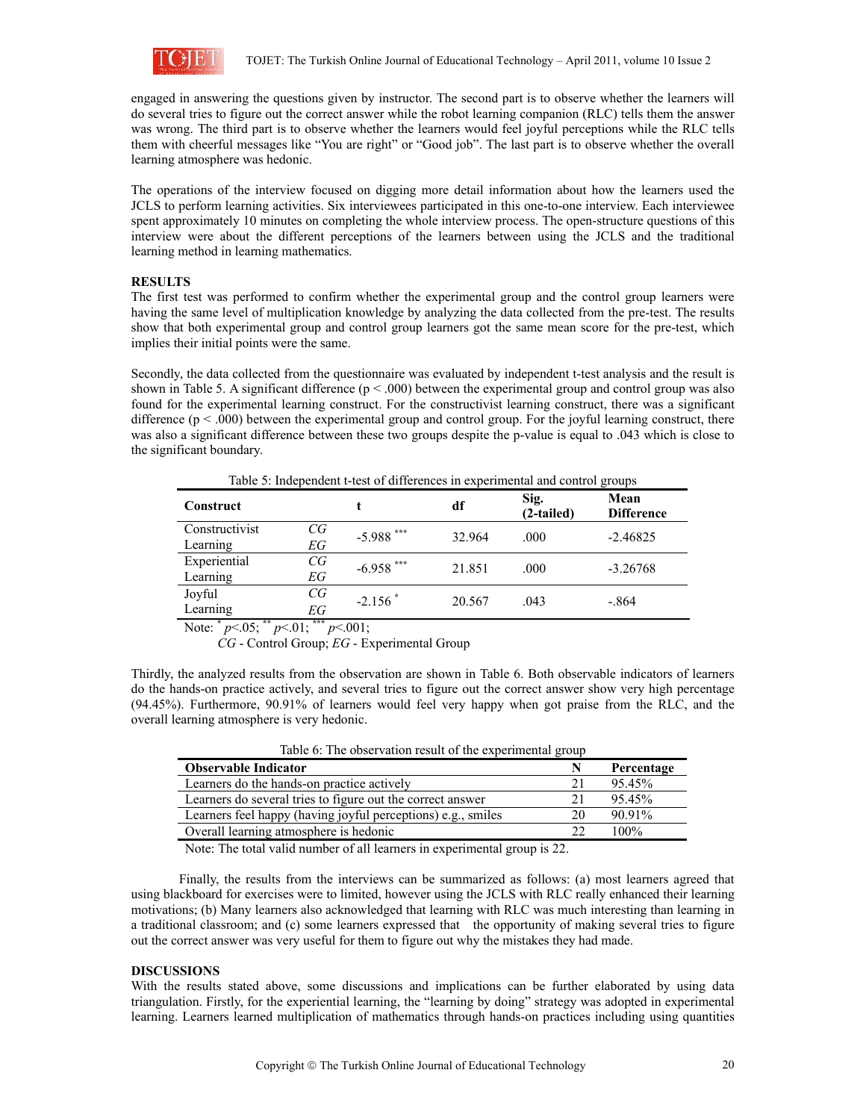

engaged in answering the questions given by instructor. The second part is to observe whether the learners will do several tries to figure out the correct answer while the robot learning companion (RLC) tells them the answer was wrong. The third part is to observe whether the learners would feel joyful perceptions while the RLC tells them with cheerful messages like "You are right" or "Good job". The last part is to observe whether the overall learning atmosphere was hedonic.

The operations of the interview focused on digging more detail information about how the learners used the JCLS to perform learning activities. Six interviewees participated in this one-to-one interview. Each interviewee spent approximately 10 minutes on completing the whole interview process. The open-structure questions of this interview were about the different perceptions of the learners between using the JCLS and the traditional learning method in learning mathematics.

### **RESULTS**

The first test was performed to confirm whether the experimental group and the control group learners were having the same level of multiplication knowledge by analyzing the data collected from the pre-test. The results show that both experimental group and control group learners got the same mean score for the pre-test, which implies their initial points were the same.

Secondly, the data collected from the questionnaire was evaluated by independent t-test analysis and the result is shown in Table 5. A significant difference ( $p < .000$ ) between the experimental group and control group was also found for the experimental learning construct. For the constructivist learning construct, there was a significant difference  $(p < .000)$  between the experimental group and control group. For the joyful learning construct, there was also a significant difference between these two groups despite the p-value is equal to .043 which is close to the significant boundary.

| Table 5: Independent t-test of differences in experimental and control groups |          |                 |        |                    |                           |
|-------------------------------------------------------------------------------|----------|-----------------|--------|--------------------|---------------------------|
| Construct                                                                     |          |                 | df     | Sig.<br>(2-tailed) | Mean<br><b>Difference</b> |
| Constructivist<br>Learning                                                    | CG<br>EG | ***<br>$-5.988$ | 32.964 | .000               | $-2.46825$                |
| Experiential<br>Learning                                                      | CG<br>ΕG | ***<br>$-6.958$ | 21.851 | .000               | $-3.26768$                |
| Joyful<br>Learning                                                            | CG<br>EG | $-2.156$        | 20.567 | .043               | $-.864$                   |

Note: **\*** *p*<.05; **\*\*** *p*<.01; **\*\*\*** *p*<.001;

*CG* - Control Group; *EG* - Experimental Group

Thirdly, the analyzed results from the observation are shown in Table 6. Both observable indicators of learners do the hands-on practice actively, and several tries to figure out the correct answer show very high percentage (94.45%). Furthermore, 90.91% of learners would feel very happy when got praise from the RLC, and the overall learning atmosphere is very hedonic.

| Table 6: The observation result of the experimental group    |    |            |  |  |
|--------------------------------------------------------------|----|------------|--|--|
| <b>Observable Indicator</b>                                  | N  | Percentage |  |  |
| Learners do the hands-on practice actively                   | 21 | $95.45\%$  |  |  |
| Learners do several tries to figure out the correct answer   | 21 | 95.45%     |  |  |
| Learners feel happy (having joyful perceptions) e.g., smiles | 20 | 90.91%     |  |  |
| Overall learning atmosphere is hedonic                       | 22 | $100\%$    |  |  |

Note: The total valid number of all learners in experimental group is 22.

Finally, the results from the interviews can be summarized as follows: (a) most learners agreed that using blackboard for exercises were to limited, however using the JCLS with RLC really enhanced their learning motivations; (b) Many learners also acknowledged that learning with RLC was much interesting than learning in a traditional classroom; and (c) some learners expressed that the opportunity of making several tries to figure out the correct answer was very useful for them to figure out why the mistakes they had made.

#### **DISCUSSIONS**

With the results stated above, some discussions and implications can be further elaborated by using data triangulation. Firstly, for the experiential learning, the "learning by doing" strategy was adopted in experimental learning. Learners learned multiplication of mathematics through hands-on practices including using quantities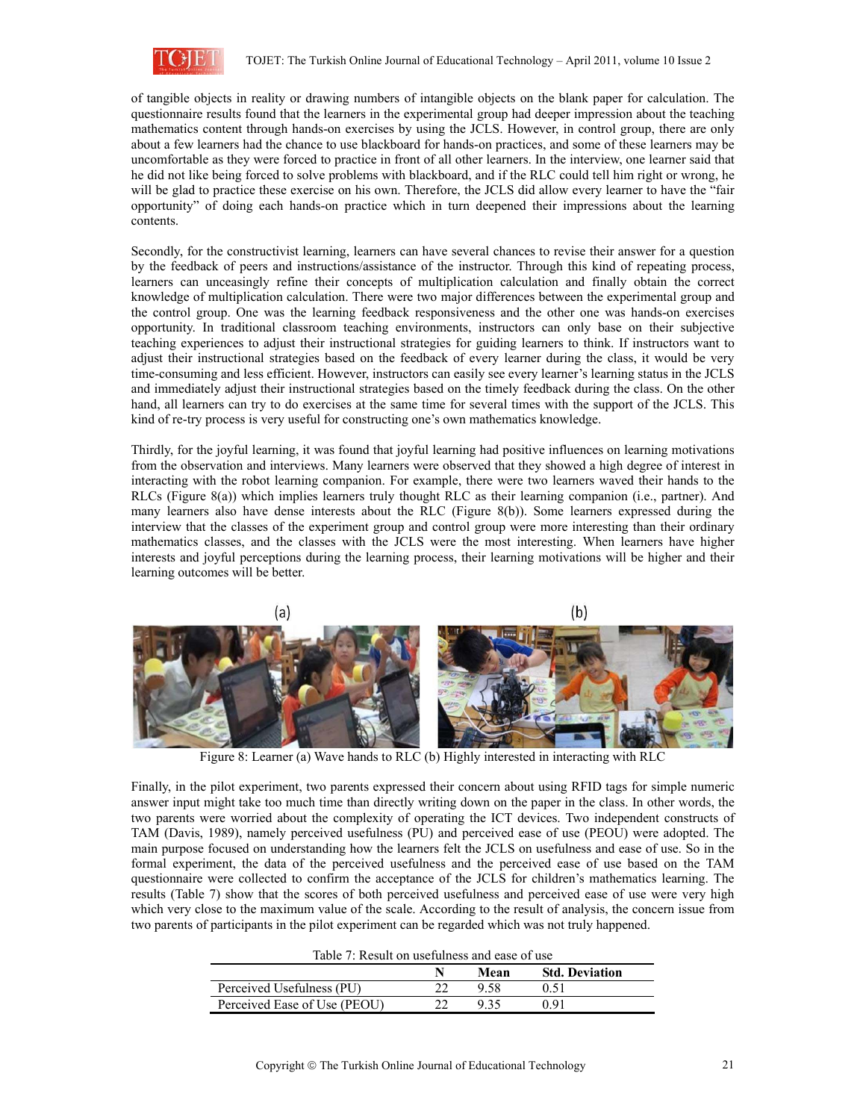

of tangible objects in reality or drawing numbers of intangible objects on the blank paper for calculation. The questionnaire results found that the learners in the experimental group had deeper impression about the teaching mathematics content through hands-on exercises by using the JCLS. However, in control group, there are only about a few learners had the chance to use blackboard for hands-on practices, and some of these learners may be uncomfortable as they were forced to practice in front of all other learners. In the interview, one learner said that he did not like being forced to solve problems with blackboard, and if the RLC could tell him right or wrong, he will be glad to practice these exercise on his own. Therefore, the JCLS did allow every learner to have the "fair opportunity" of doing each hands-on practice which in turn deepened their impressions about the learning contents.

Secondly, for the constructivist learning, learners can have several chances to revise their answer for a question by the feedback of peers and instructions/assistance of the instructor. Through this kind of repeating process, learners can unceasingly refine their concepts of multiplication calculation and finally obtain the correct knowledge of multiplication calculation. There were two major differences between the experimental group and the control group. One was the learning feedback responsiveness and the other one was hands-on exercises opportunity. In traditional classroom teaching environments, instructors can only base on their subjective teaching experiences to adjust their instructional strategies for guiding learners to think. If instructors want to adjust their instructional strategies based on the feedback of every learner during the class, it would be very time-consuming and less efficient. However, instructors can easily see every learner's learning status in the JCLS and immediately adjust their instructional strategies based on the timely feedback during the class. On the other hand, all learners can try to do exercises at the same time for several times with the support of the JCLS. This kind of re-try process is very useful for constructing one's own mathematics knowledge.

Thirdly, for the joyful learning, it was found that joyful learning had positive influences on learning motivations from the observation and interviews. Many learners were observed that they showed a high degree of interest in interacting with the robot learning companion. For example, there were two learners waved their hands to the RLCs (Figure 8(a)) which implies learners truly thought RLC as their learning companion (i.e., partner). And many learners also have dense interests about the RLC (Figure 8(b)). Some learners expressed during the interview that the classes of the experiment group and control group were more interesting than their ordinary mathematics classes, and the classes with the JCLS were the most interesting. When learners have higher interests and joyful perceptions during the learning process, their learning motivations will be higher and their learning outcomes will be better.



Figure 8: Learner (a) Wave hands to RLC (b) Highly interested in interacting with RLC

Finally, in the pilot experiment, two parents expressed their concern about using RFID tags for simple numeric answer input might take too much time than directly writing down on the paper in the class. In other words, the two parents were worried about the complexity of operating the ICT devices. Two independent constructs of TAM (Davis, 1989), namely perceived usefulness (PU) and perceived ease of use (PEOU) were adopted. The main purpose focused on understanding how the learners felt the JCLS on usefulness and ease of use. So in the formal experiment, the data of the perceived usefulness and the perceived ease of use based on the TAM questionnaire were collected to confirm the acceptance of the JCLS for children's mathematics learning. The results (Table 7) show that the scores of both perceived usefulness and perceived ease of use were very high which very close to the maximum value of the scale. According to the result of analysis, the concern issue from two parents of participants in the pilot experiment can be regarded which was not truly happened.

| Table 7: Result on usefulness and ease of use |  |
|-----------------------------------------------|--|
|-----------------------------------------------|--|

|                              | Mean | <b>Std. Deviation</b> |
|------------------------------|------|-----------------------|
| Perceived Usefulness (PU)    | 9 58 | ገ 51                  |
| Perceived Ease of Use (PEOU) |      | ገ 01                  |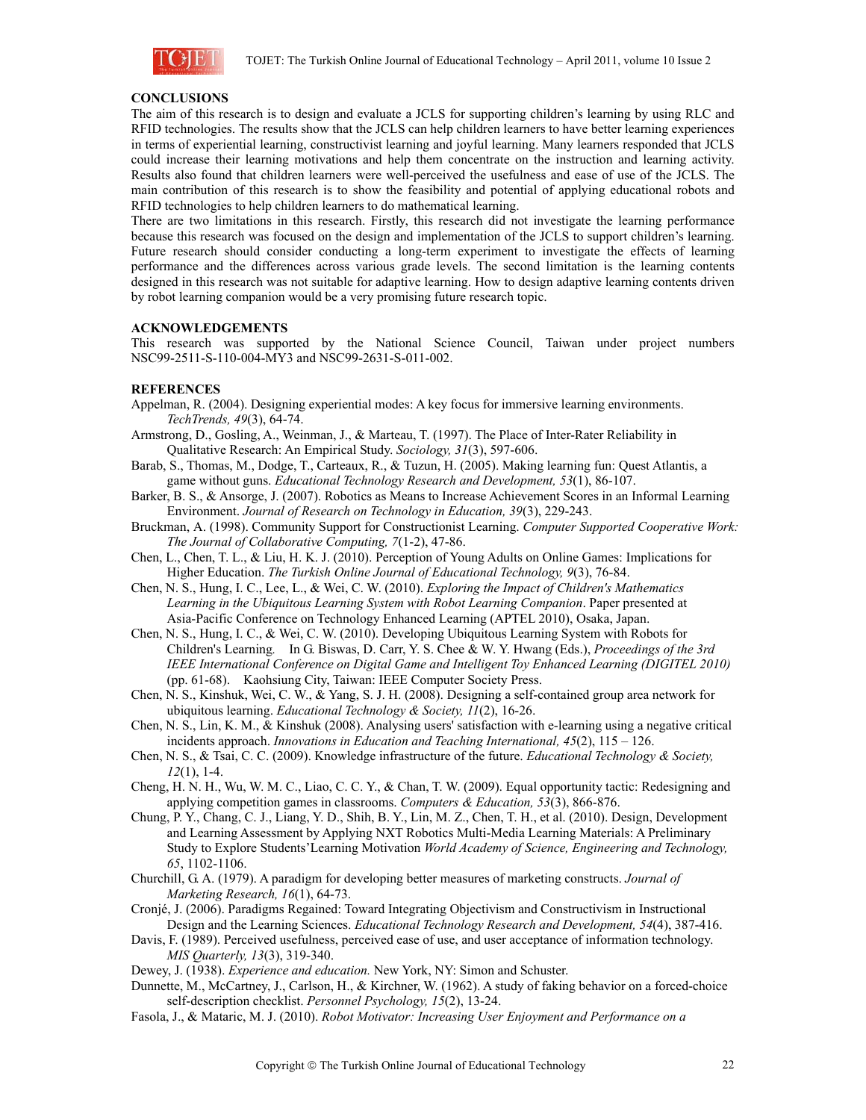

### **CONCLUSIONS**

The aim of this research is to design and evaluate a JCLS for supporting children's learning by using RLC and RFID technologies. The results show that the JCLS can help children learners to have better learning experiences in terms of experiential learning, constructivist learning and joyful learning. Many learners responded that JCLS could increase their learning motivations and help them concentrate on the instruction and learning activity. Results also found that children learners were well-perceived the usefulness and ease of use of the JCLS. The main contribution of this research is to show the feasibility and potential of applying educational robots and RFID technologies to help children learners to do mathematical learning.

There are two limitations in this research. Firstly, this research did not investigate the learning performance because this research was focused on the design and implementation of the JCLS to support children's learning. Future research should consider conducting a long-term experiment to investigate the effects of learning performance and the differences across various grade levels. The second limitation is the learning contents designed in this research was not suitable for adaptive learning. How to design adaptive learning contents driven by robot learning companion would be a very promising future research topic.

#### **ACKNOWLEDGEMENTS**

This research was supported by the National Science Council, Taiwan under project numbers NSC99-2511-S-110-004-MY3 and NSC99-2631-S-011-002.

#### **REFERENCES**

- Appelman, R. (2004). Designing experiential modes: A key focus for immersive learning environments. *TechTrends, 49*(3), 64-74.
- Armstrong, D., Gosling, A., Weinman, J., & Marteau, T. (1997). The Place of Inter-Rater Reliability in Qualitative Research: An Empirical Study. *Sociology, 31*(3), 597-606.
- Barab, S., Thomas, M., Dodge, T., Carteaux, R., & Tuzun, H. (2005). Making learning fun: Quest Atlantis, a game without guns. *Educational Technology Research and Development, 53*(1), 86-107.
- Barker, B. S., & Ansorge, J. (2007). Robotics as Means to Increase Achievement Scores in an Informal Learning Environment. *Journal of Research on Technology in Education, 39*(3), 229-243.
- Bruckman, A. (1998). Community Support for Constructionist Learning. *Computer Supported Cooperative Work: The Journal of Collaborative Computing, 7*(1-2), 47-86.
- Chen, L., Chen, T. L., & Liu, H. K. J. (2010). Perception of Young Adults on Online Games: Implications for Higher Education. *The Turkish Online Journal of Educational Technology, 9*(3), 76-84.
- Chen, N. S., Hung, I. C., Lee, L., & Wei, C. W. (2010). *Exploring the Impact of Children's Mathematics Learning in the Ubiquitous Learning System with Robot Learning Companion*. Paper presented at Asia-Pacific Conference on Technology Enhanced Learning (APTEL 2010), Osaka, Japan.
- Chen, N. S., Hung, I. C., & Wei, C. W. (2010). Developing Ubiquitous Learning System with Robots for Children's Learning*.* In G. Biswas, D. Carr, Y. S. Chee & W. Y. Hwang (Eds.), *Proceedings of the 3rd IEEE International Conference on Digital Game and Intelligent Toy Enhanced Learning (DIGITEL 2010)* (pp. 61-68). Kaohsiung City, Taiwan: IEEE Computer Society Press.
- Chen, N. S., Kinshuk, Wei, C. W., & Yang, S. J. H. (2008). Designing a self-contained group area network for ubiquitous learning. *Educational Technology & Society, 11*(2), 16-26.
- Chen, N. S., Lin, K. M., & Kinshuk (2008). Analysing users' satisfaction with e-learning using a negative critical incidents approach. *Innovations in Education and Teaching International, 45*(2), 115 – 126.
- Chen, N. S., & Tsai, C. C. (2009). Knowledge infrastructure of the future. *Educational Technology & Society, 12*(1), 1-4.
- Cheng, H. N. H., Wu, W. M. C., Liao, C. C. Y., & Chan, T. W. (2009). Equal opportunity tactic: Redesigning and applying competition games in classrooms. *Computers & Education, 53*(3), 866-876.
- Chung, P. Y., Chang, C. J., Liang, Y. D., Shih, B. Y., Lin, M. Z., Chen, T. H., et al. (2010). Design, Development and Learning Assessment by Applying NXT Robotics Multi-Media Learning Materials: A Preliminary Study to Explore Students'Learning Motivation *World Academy of Science, Engineering and Technology, 65*, 1102-1106.
- Churchill, G. A. (1979). A paradigm for developing better measures of marketing constructs. *Journal of Marketing Research, 16*(1), 64-73.
- Cronjé, J. (2006). Paradigms Regained: Toward Integrating Objectivism and Constructivism in Instructional Design and the Learning Sciences. *Educational Technology Research and Development, 54*(4), 387-416.
- Davis, F. (1989). Perceived usefulness, perceived ease of use, and user acceptance of information technology. *MIS Quarterly, 13*(3), 319-340.
- Dewey, J. (1938). *Experience and education.* New York, NY: Simon and Schuster.
- Dunnette, M., McCartney, J., Carlson, H., & Kirchner, W. (1962). A study of faking behavior on a forced-choice self-description checklist. *Personnel Psychology, 15*(2), 13-24.
- Fasola, J., & Mataric, M. J. (2010). *Robot Motivator: Increasing User Enjoyment and Performance on a*